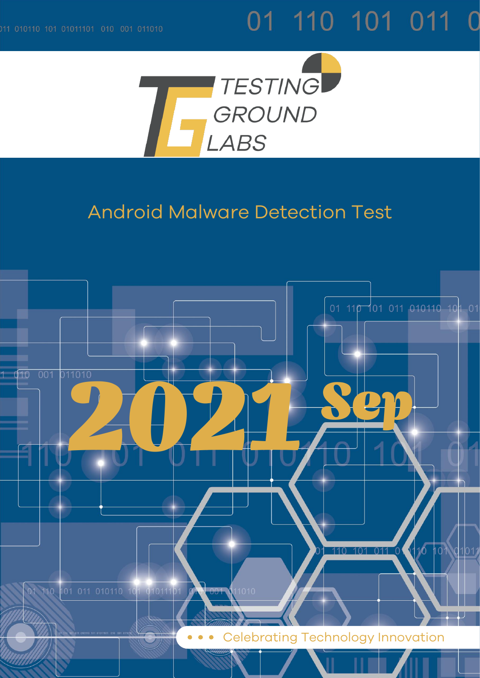# 01 110 101 011 0



## Android Malware Detection Test

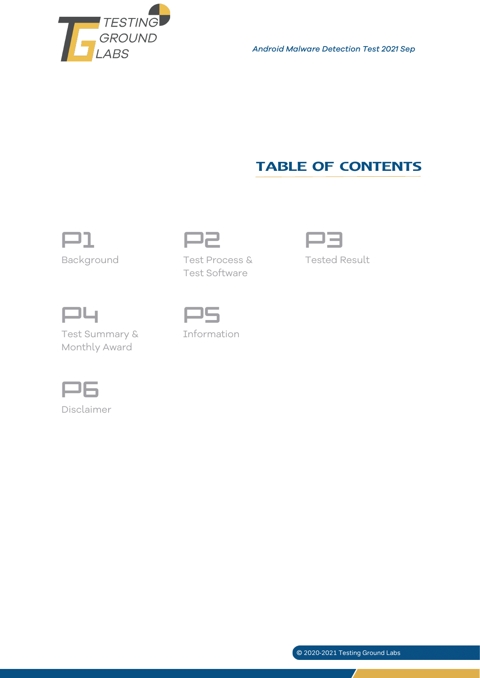

*Android Malware Detection Test 2021 Sep*

### **TABLE OF CONTENTS**



Background Test Process &



Tested Result



Test Summary & Monthly Award



Information

Test Software



Disclaimer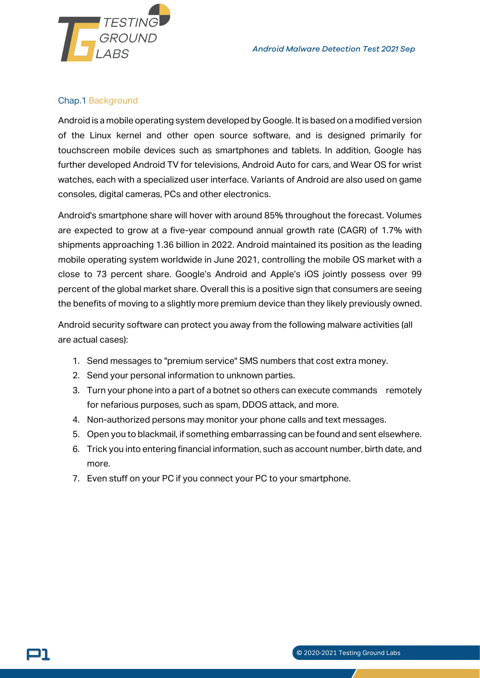

#### Chap.1 Background

וכ

Android is a mobile operating system developed by Google. It is based on a modified version of the Linux kernel and other open source software, and is designed primarily for touchscreen mobile devices such as smartphones and tablets. In addition, Google has further developed Android TV for televisions, Android Auto for cars, and Wear OS for wrist watches, each with a specialized user interface. Variants of Android are also used on game consoles, digital cameras, PCs and other electronics.

Android's smartphone share will hover with around 85% throughout the forecast. Volumes are expected to grow at a five-year compound annual growth rate (CAGR) of 1.7% with shipments approaching 1.36 billion in 2022. Android maintained its position as the leading mobile operating system worldwide in June 2021, controlling the mobile OS market with a close to 73 percent share. Google's Android and Apple's iOS jointly possess over 99 percent of the global market share. Overall this is a positive sign that consumers are seeing the benefits of moving to a slightly more premium device than they likely previously owned.

Android security software can protect you away from the following malware activities (all are actual cases):

- 1. Send messages to "premium service" SMS numbers that cost extra money.
- 2. Send your personal information to unknown parties.
- 3. Turn your phone into a part of a botnet so others can execute commands remotely for nefarious purposes, such as spam, DDOS attack, and more.
- 4. Non-authorized persons may monitor your phone calls and text messages.
- 5. Open you to blackmail, if something embarrassing can be found and sent elsewhere.
- 6. Trick you into entering financial information, such as account number, birth date, and more.
- 7. Even stuff on your PC if you connect your PC to your smartphone.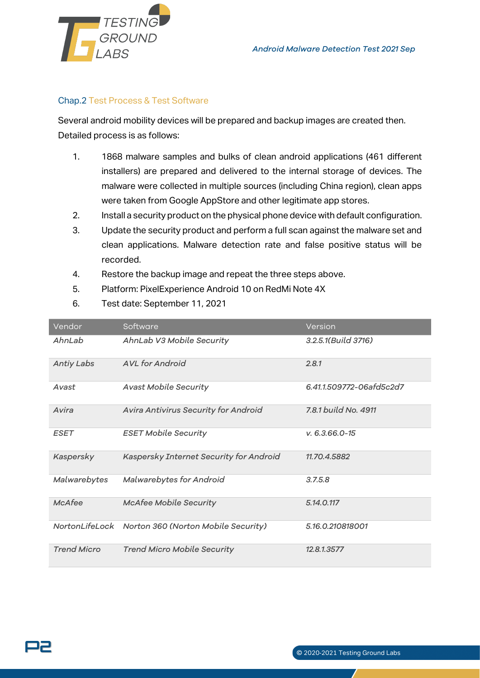

#### Chap.2 Test Process & Test Software

Several android mobility devices will be prepared and backup images are created then. Detailed process is as follows:

- 1. 1868 malware samples and bulks of clean android applications (461 different installers) are prepared and delivered to the internal storage of devices. The malware were collected in multiple sources (including China region), clean apps were taken from Google AppStore and other legitimate app stores.
- 2. Install a security product on the physical phone device with default configuration.
- 3. Update the security product and perform a full scan against the malware set and clean applications. Malware detection rate and false positive status will be recorded.
- 4. Restore the backup image and repeat the three steps above.
- 5. Platform: PixelExperience Android 10 on RedMi Note 4X
- 6. Test date: September 11, 2021

| Vendor             | Software                                           | Version                   |
|--------------------|----------------------------------------------------|---------------------------|
| AhnLab             | AhnLab V3 Mobile Security                          | $3.2.5.1$ (Build $3716$ ) |
| <b>Antiy Labs</b>  | <b>AVL</b> for Android                             | 2.8.1                     |
| Avast              | <b>Avast Mobile Security</b>                       | 6.41.1.509772-06afd5c2d7  |
| Avira              | Avira Antivirus Security for Android               | 7.8.1 build No. 4911      |
| <b>ESET</b>        | <b>ESET Mobile Security</b>                        | $V. 6.3.66.0 - 15$        |
| Kaspersky          | Kaspersky Internet Security for Android            | 11.70.4.5882              |
| Malwarebytes       | Malwarebytes for Android                           | 3.7.5.8                   |
| McAfee             | <b>McAfee Mobile Security</b>                      | 5.14.0.117                |
|                    | NortonLifeLock Norton 360 (Norton Mobile Security) | 5.16.0.210818001          |
| <b>Trend Micro</b> | <b>Trend Micro Mobile Security</b>                 | 12.8.1.3577               |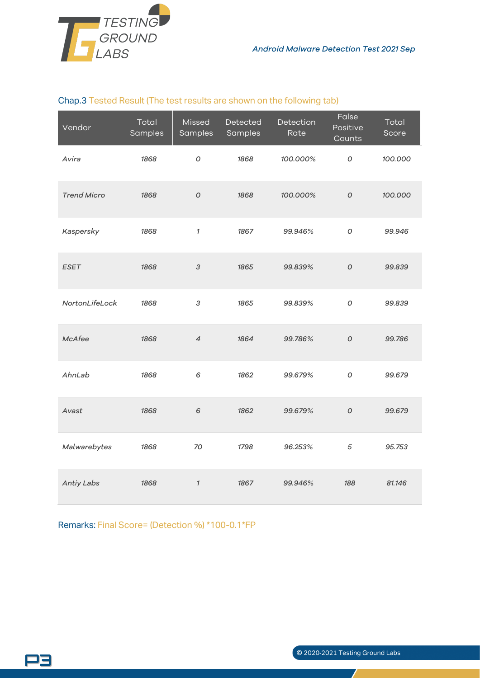

#### Chap.3 Tested Result (The test results are shown on the following tab)

| Vendor             | Total<br>Samples | Missed<br>Samples          | Detected<br>Samples | Detection<br>Rate | False<br>Positive<br>Counts | Total<br>Score |
|--------------------|------------------|----------------------------|---------------------|-------------------|-----------------------------|----------------|
| Avira              | 1868             | O                          | 1868                | 100.000%          | О                           | 100.000        |
| <b>Trend Micro</b> | 1868             | $\cal O$                   | 1868                | 100.000%          | $\cal O$                    | 100.000        |
| Kaspersky          | 1868             | $\boldsymbol{\eta}$        | 1867                | 99.946%           | $\cal O$                    | 99.946         |
| <b>ESET</b>        | 1868             | $\ensuremath{\mathcal{S}}$ | 1865                | 99.839%           | $\overline{O}$              | 99.839         |
| NortonLifeLock     | 1868             | 3                          | 1865                | 99.839%           | O                           | 99.839         |
| McAfee             | 1868             | $\overline{4}$             | 1864                | 99.786%           | $\cal O$                    | 99.786         |
| AhnLab             | 1868             | 6                          | 1862                | 99.679%           | $\cal O$                    | 99.679         |
| Avast              | 1868             | 6                          | 1862                | 99.679%           | $\overline{O}$              | 99.679         |
| Malwarebytes       | 1868             | 70                         | 1798                | 96.253%           | $\sqrt{5}$                  | 95.753         |
| Antiy Labs         | 1868             | $\mathcal{I}$              | 1867                | 99.946%           | 188                         | 81.146         |

Remarks: Final Score= (Detection %) \*100-0.1\*FP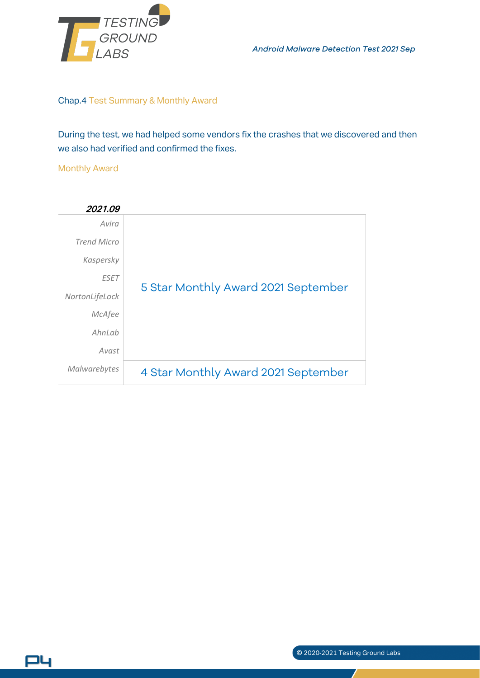

*Android Malware Detection Test 2021 Sep*

#### Chap.4 Test Summary & Monthly Award

During the test, we had helped some vendors fix the crashes that we discovered and then we also had verified and confirmed the fixes.

#### Monthly Award

P4



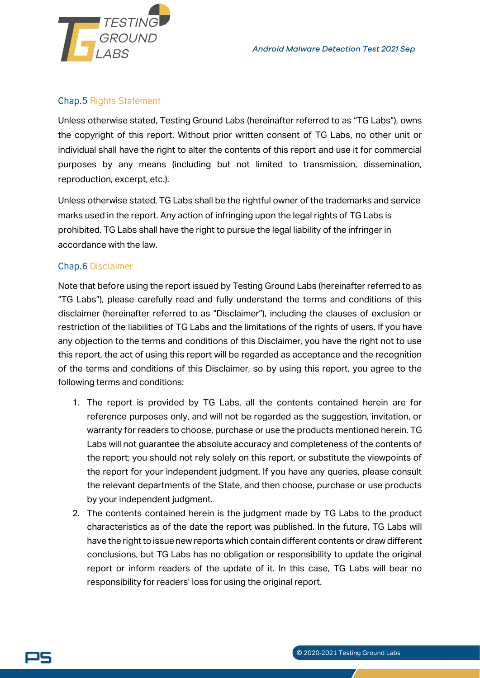

#### Chap.5 Rights Statement

Unless otherwise stated, Testing Ground Labs (hereinafter referred to as "TG Labs"), owns the copyright of this report. Without prior written consent of TG Labs, no other unit or individual shall have the right to alter the contents of this report and use it for commercial purposes by any means (including but not limited to transmission, dissemination, reproduction, excerpt, etc.).

Unless otherwise stated, TG Labs shall be the rightful owner of the trademarks and service marks used in the report. Any action of infringing upon the legal rights of TG Labs is prohibited. TG Labs shall have the right to pursue the legal liability of the infringer in accordance with the law.

#### Chap.6 Disclaimer

Note that before using the report issued by Testing Ground Labs (hereinafter referred to as "TG Labs"), please carefully read and fully understand the terms and conditions of this disclaimer (hereinafter referred to as "Disclaimer"), including the clauses of exclusion or restriction of the liabilities of TG Labs and the limitations of the rights of users. If you have any objection to the terms and conditions of this Disclaimer, you have the right not to use this report, the act of using this report will be regarded as acceptance and the recognition of the terms and conditions of this Disclaimer, so by using this report, you agree to the following terms and conditions:

- 1. The report is provided by TG Labs, all the contents contained herein are for reference purposes only, and will not be regarded as the suggestion, invitation, or warranty for readers to choose, purchase or use the products mentioned herein. TG Labs will not guarantee the absolute accuracy and completeness of the contents of the report; you should not rely solely on this report, or substitute the viewpoints of the report for your independent judgment. If you have any queries, please consult the relevant departments of the State, and then choose, purchase or use products by your independent judgment.
- 2. The contents contained herein is the judgment made by TG Labs to the product characteristics as of the date the report was published. In the future, TG Labs will have the right to issue new reports which contain different contents or draw different conclusions, but TG Labs has no obligation or responsibility to update the original report or inform readers of the update of it. In this case, TG Labs will bear no responsibility for readers' loss for using the original report.